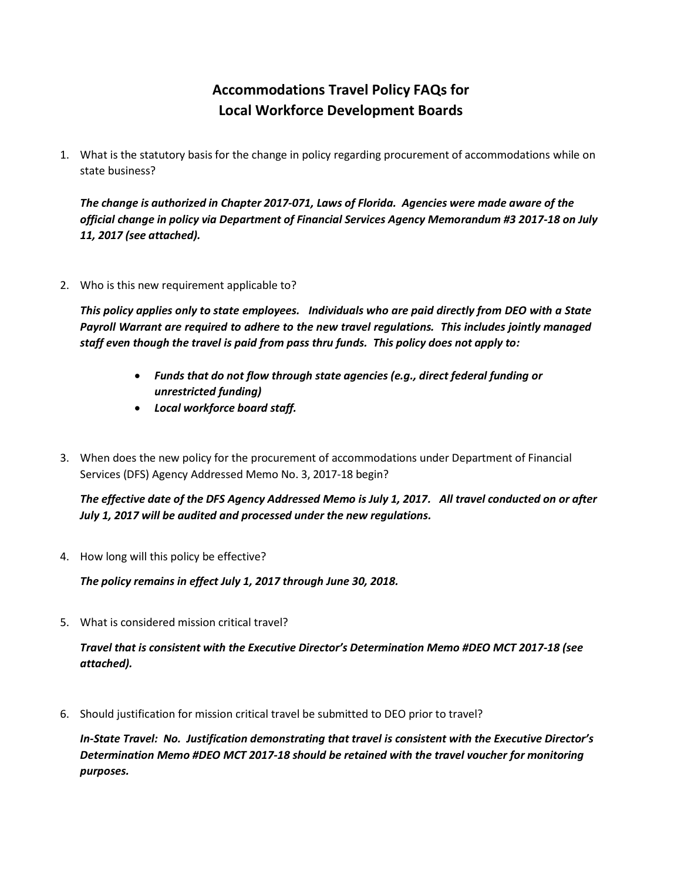# **Accommodations Travel Policy FAQs for Local Workforce Development Boards**

1. What is the statutory basis for the change in policy regarding procurement of accommodations while on state business?

*The change is authorized in Chapter 2017-071, Laws of Florida. Agencies were made aware of the official change in policy via Department of Financial Services Agency Memorandum #3 2017-18 on July 11, 2017 (see attached).*

2. Who is this new requirement applicable to?

*This policy applies only to state employees. Individuals who are paid directly from DEO with a State Payroll Warrant are required to adhere to the new travel regulations. This includes jointly managed staff even though the travel is paid from pass thru funds. This policy does not apply to:*

- *Funds that do not flow through state agencies (e.g., direct federal funding or unrestricted funding)*
- *Local workforce board staff.*
- 3. When does the new policy for the procurement of accommodations under Department of Financial Services (DFS) Agency Addressed Memo No. 3, 2017-18 begin?

*The effective date of the DFS Agency Addressed Memo is July 1, 2017. All travel conducted on or after July 1, 2017 will be audited and processed under the new regulations.*

4. How long will this policy be effective?

*The policy remains in effect July 1, 2017 through June 30, 2018.*

5. What is considered mission critical travel?

*Travel that is consistent with the Executive Director's Determination Memo #DEO MCT 2017-18 (see attached).*

6. Should justification for mission critical travel be submitted to DEO prior to travel?

*In-State Travel: No. Justification demonstrating that travel is consistent with the Executive Director's Determination Memo #DEO MCT 2017-18 should be retained with the travel voucher for monitoring purposes.*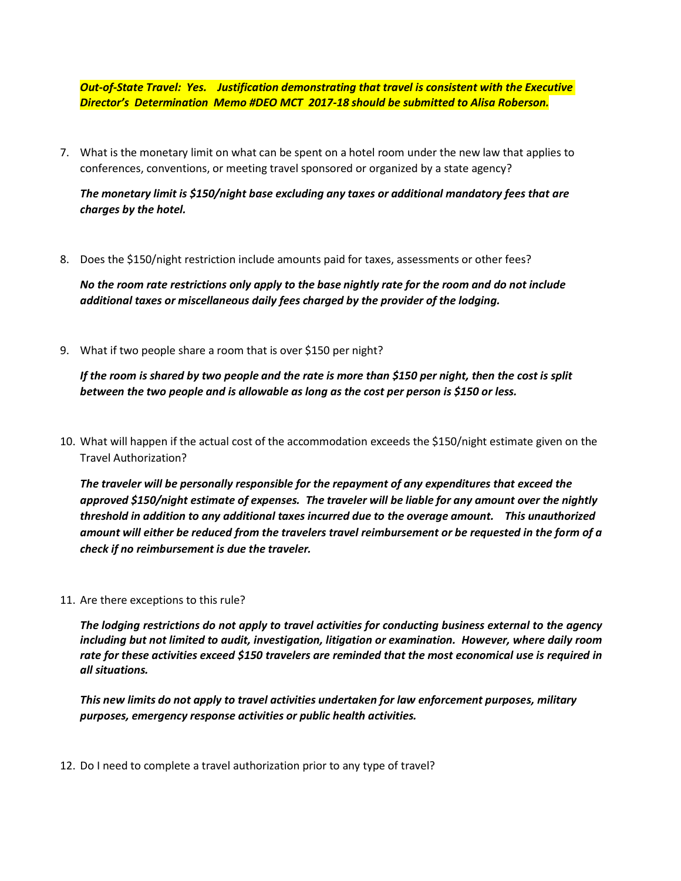*Out-of-State Travel: Yes. Justification demonstrating that travel is consistent with the Executive Director's Determination Memo #DEO MCT 2017-18 should be submitted to Alisa Roberson.*

7. What is the monetary limit on what can be spent on a hotel room under the new law that applies to conferences, conventions, or meeting travel sponsored or organized by a state agency?

# *The monetary limit is \$150/night base excluding any taxes or additional mandatory fees that are charges by the hotel.*

8. Does the \$150/night restriction include amounts paid for taxes, assessments or other fees?

*No the room rate restrictions only apply to the base nightly rate for the room and do not include additional taxes or miscellaneous daily fees charged by the provider of the lodging.*

9. What if two people share a room that is over \$150 per night?

*If the room is shared by two people and the rate is more than \$150 per night, then the cost is split between the two people and is allowable as long as the cost per person is \$150 or less.*

10. What will happen if the actual cost of the accommodation exceeds the \$150/night estimate given on the Travel Authorization?

*The traveler will be personally responsible for the repayment of any expenditures that exceed the approved \$150/night estimate of expenses. The traveler will be liable for any amount over the nightly threshold in addition to any additional taxes incurred due to the overage amount. This unauthorized amount will either be reduced from the travelers travel reimbursement or be requested in the form of a check if no reimbursement is due the traveler.*

11. Are there exceptions to this rule?

*The lodging restrictions do not apply to travel activities for conducting business external to the agency including but not limited to audit, investigation, litigation or examination. However, where daily room rate for these activities exceed \$150 travelers are reminded that the most economical use is required in all situations.*

*This new limits do not apply to travel activities undertaken for law enforcement purposes, military purposes, emergency response activities or public health activities.*

12. Do I need to complete a travel authorization prior to any type of travel?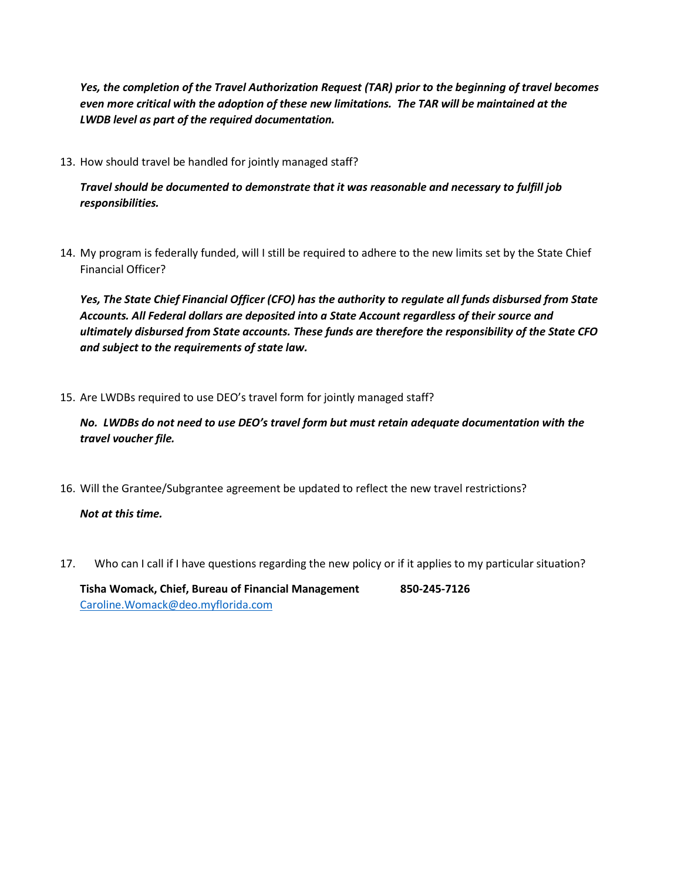*Yes, the completion of the Travel Authorization Request (TAR) prior to the beginning of travel becomes even more critical with the adoption of these new limitations. The TAR will be maintained at the LWDB level as part of the required documentation.*

13. How should travel be handled for jointly managed staff?

*Travel should be documented to demonstrate that it was reasonable and necessary to fulfill job responsibilities.*

14. My program is federally funded, will I still be required to adhere to the new limits set by the State Chief Financial Officer?

*Yes, The State Chief Financial Officer (CFO) has the authority to regulate all funds disbursed from State Accounts. All Federal dollars are deposited into a State Account regardless of their source and ultimately disbursed from State accounts. These funds are therefore the responsibility of the State CFO and subject to the requirements of state law.*

15. Are LWDBs required to use DEO's travel form for jointly managed staff?

*No. LWDBs do not need to use DEO's travel form but must retain adequate documentation with the travel voucher file.*

16. Will the Grantee/Subgrantee agreement be updated to reflect the new travel restrictions?

*Not at this time.*

17. Who can I call if I have questions regarding the new policy or if it applies to my particular situation?

**Tisha Womack, Chief, Bureau of Financial Management 850-245-7126** [Caroline.Womack@deo.myflorida.com](mailto:Caroline.Womack@deo.myflorida.com)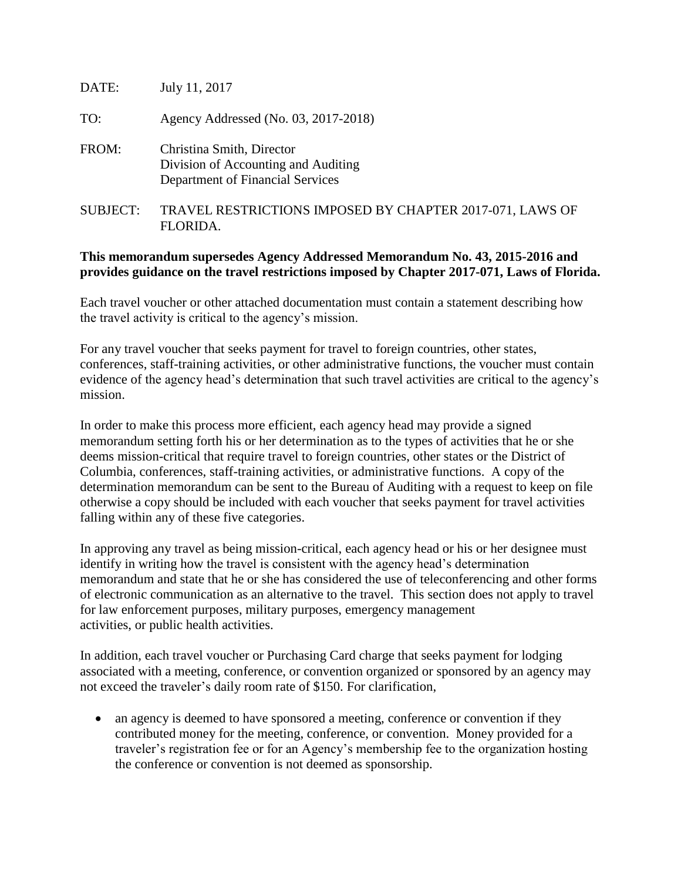| DATE:           | July 11, 2017                                                                                        |
|-----------------|------------------------------------------------------------------------------------------------------|
| TO:             | Agency Addressed (No. 03, 2017-2018)                                                                 |
| FROM:           | Christina Smith, Director<br>Division of Accounting and Auditing<br>Department of Financial Services |
| <b>SUBJECT:</b> | TRAVEL RESTRICTIONS IMPOSED BY CHAPTER 2017-071, LAWS OF<br>FLORIDA.                                 |

# **This memorandum supersedes Agency Addressed Memorandum No. 43, 2015-2016 and provides guidance on the travel restrictions imposed by Chapter 2017-071, Laws of Florida.**

Each travel voucher or other attached documentation must contain a statement describing how the travel activity is critical to the agency's mission.

For any travel voucher that seeks payment for travel to foreign countries, other states, conferences, staff-training activities, or other administrative functions, the voucher must contain evidence of the agency head's determination that such travel activities are critical to the agency's mission.

In order to make this process more efficient, each agency head may provide a signed memorandum setting forth his or her determination as to the types of activities that he or she deems mission-critical that require travel to foreign countries, other states or the District of Columbia, conferences, staff-training activities, or administrative functions. A copy of the determination memorandum can be sent to the Bureau of Auditing with a request to keep on file otherwise a copy should be included with each voucher that seeks payment for travel activities falling within any of these five categories.

In approving any travel as being mission-critical, each agency head or his or her designee must identify in writing how the travel is consistent with the agency head's determination memorandum and state that he or she has considered the use of teleconferencing and other forms of electronic communication as an alternative to the travel. This section does not apply to travel for law enforcement purposes, military purposes, emergency management activities, or public health activities.

In addition, each travel voucher or Purchasing Card charge that seeks payment for lodging associated with a meeting, conference, or convention organized or sponsored by an agency may not exceed the traveler's daily room rate of \$150. For clarification,

• an agency is deemed to have sponsored a meeting, conference or convention if they contributed money for the meeting, conference, or convention. Money provided for a traveler's registration fee or for an Agency's membership fee to the organization hosting the conference or convention is not deemed as sponsorship.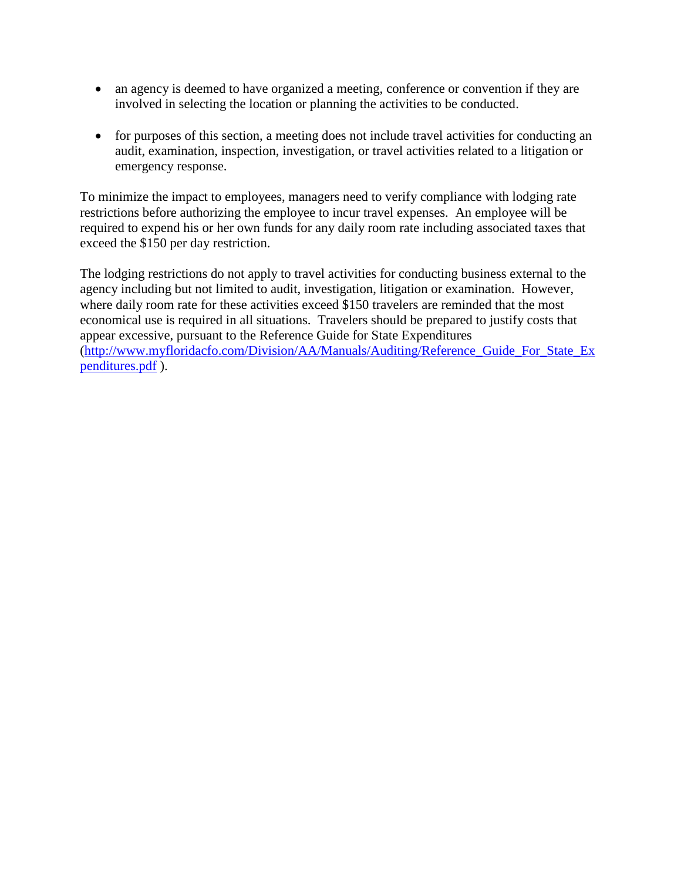- an agency is deemed to have organized a meeting, conference or convention if they are involved in selecting the location or planning the activities to be conducted.
- for purposes of this section, a meeting does not include travel activities for conducting an audit, examination, inspection, investigation, or travel activities related to a litigation or emergency response.

To minimize the impact to employees, managers need to verify compliance with lodging rate restrictions before authorizing the employee to incur travel expenses. An employee will be required to expend his or her own funds for any daily room rate including associated taxes that exceed the \$150 per day restriction.

The lodging restrictions do not apply to travel activities for conducting business external to the agency including but not limited to audit, investigation, litigation or examination. However, where daily room rate for these activities exceed \$150 travelers are reminded that the most economical use is required in all situations. Travelers should be prepared to justify costs that appear excessive, pursuant to the Reference Guide for State Expenditures [\(http://www.myfloridacfo.com/Division/AA/Manuals/Auditing/Reference\\_Guide\\_For\\_State\\_Ex](http://www.myfloridacfo.com/Division/AA/Manuals/Auditing/Reference_Guide_For_State_Expenditures.pdf) [penditures.pdf](http://www.myfloridacfo.com/Division/AA/Manuals/Auditing/Reference_Guide_For_State_Expenditures.pdf) ).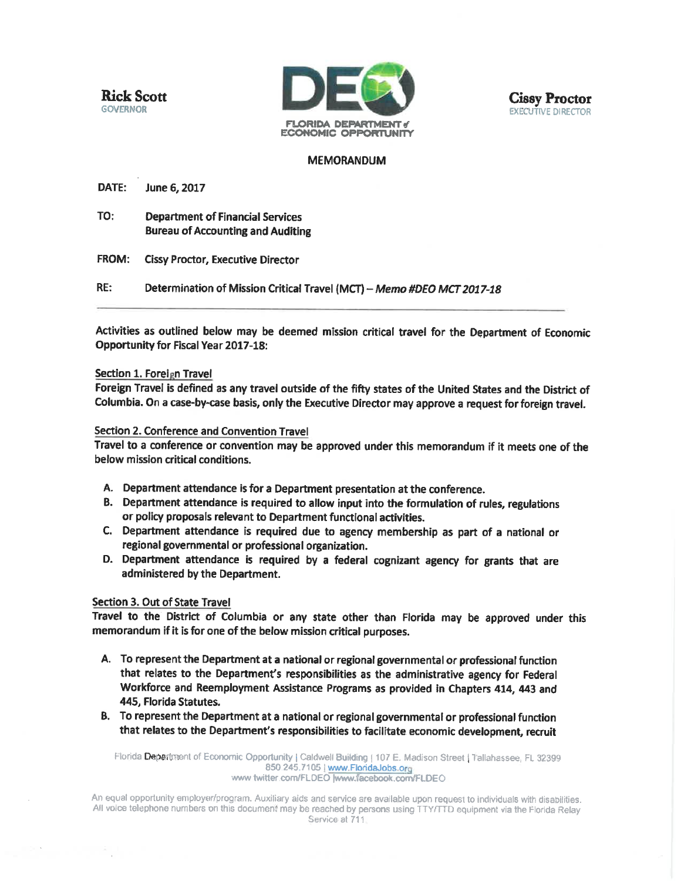**Rick Scott GOVERNOR** 



## **MEMORANDUM**

**DATE:** June 6, 2017

TO: **Department of Financial Services Bureau of Accounting and Auditing** 

FROM: **Cissy Proctor, Executive Director** 

RE: Determination of Mission Critical Travel (MCT) - Memo #DEO MCT 2017-18

Activities as outlined below may be deemed mission critical travel for the Department of Economic **Opportunity for Fiscal Year 2017-18:** 

#### Section 1. Foreign Travel

Foreign Travel is defined as any travel outside of the fifty states of the United States and the District of Columbia. On a case-by-case basis, only the Executive Director may approve a request for foreign travel.

#### Section 2. Conference and Convention Travel

Travel to a conference or convention may be approved under this memorandum if it meets one of the below mission critical conditions.

- A. Department attendance is for a Department presentation at the conference.
- B. Department attendance is required to allow input into the formulation of rules, regulations or policy proposals relevant to Department functional activities.
- C. Department attendance is required due to agency membership as part of a national or regional governmental or professional organization.
- D. Department attendance is required by a federal cognizant agency for grants that are administered by the Department.

### Section 3. Out of State Travel

Travel to the District of Columbia or any state other than Florida may be approved under this memorandum if it is for one of the below mission critical purposes.

- A. To represent the Department at a national or regional governmental or professional function that relates to the Department's responsibilities as the administrative agency for Federal Workforce and Reemployment Assistance Programs as provided in Chapters 414, 443 and 445, Florida Statutes.
- B. To represent the Department at a national or regional governmental or professional function that relates to the Department's responsibilities to facilitate economic development, recruit

Florida Department of Economic Opportunity | Caldwell Building | 107 E. Madison Street | Tallahassee, FL 32399 850.245.7105 | www.FloridaJobs.org www.twitter.com/FLDEO |www.facebook.com/FLDEO

An equal opportunity employer/program. Auxiliary aids and service are available upon request to individuals with disabilities. All voice telephone numbers on this document may be reached by persons using TTY/TTD equipment via the Florida Relay Service at 711.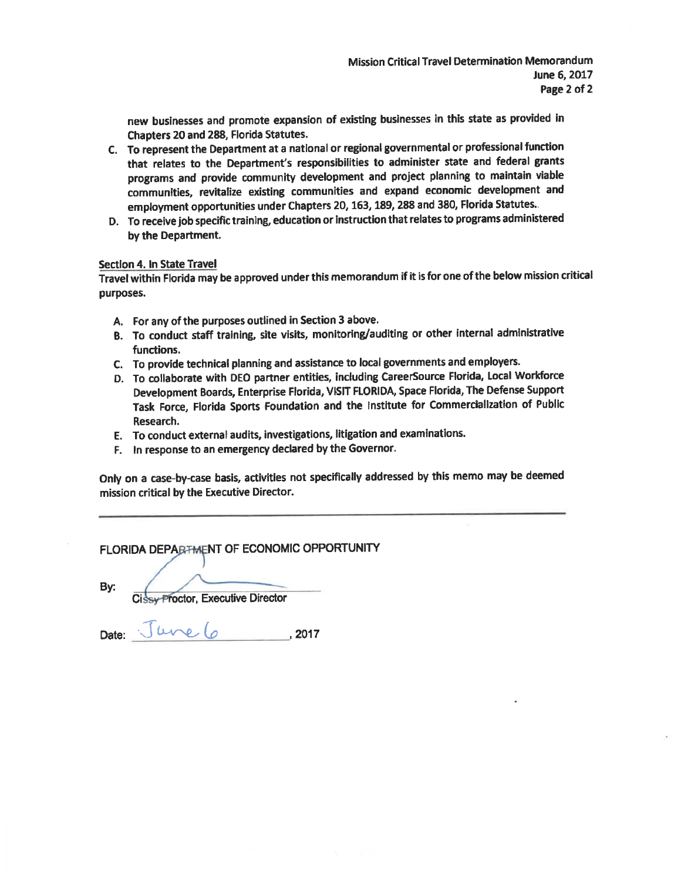new businesses and promote expansion of existing businesses in this state as provided in Chapters 20 and 288, Florida Statutes.

- C. To represent the Department at a national or regional governmental or professional function that relates to the Department's responsibilities to administer state and federal grants programs and provide community development and project planning to maintain viable communities, revitalize existing communities and expand economic development and employment opportunities under Chapters 20, 163, 189, 288 and 380, Florida Statutes.
- D. To receive job specific training, education or instruction that relates to programs administered by the Department.

#### Section 4. In State Travel

Travel within Florida may be approved under this memorandum if it is for one of the below mission critical purposes.

- A. For any of the purposes outlined in Section 3 above.
- B. To conduct staff training, site visits, monitoring/auditing or other internal administrative functions.
- C. To provide technical planning and assistance to local governments and employers.
- D. To collaborate with DEO partner entities, including CareerSource Florida, Local Workforce Development Boards, Enterprise Florida, VISIT FLORIDA, Space Florida, The Defense Support Task Force, Florida Sports Foundation and the Institute for Commercialization of Public Research.
- E. To conduct external audits, investigations, litigation and examinations.
- F. In response to an emergency declared by the Governor.

Only on a case-by-case basis, activities not specifically addressed by this memo may be deemed mission critical by the Executive Director.

## FLORIDA DEPARTMENT OF ECONOMIC OPPORTUNITY

By:

Cissy Proctor, Executive Director

Date:  $Jure6$ , 2017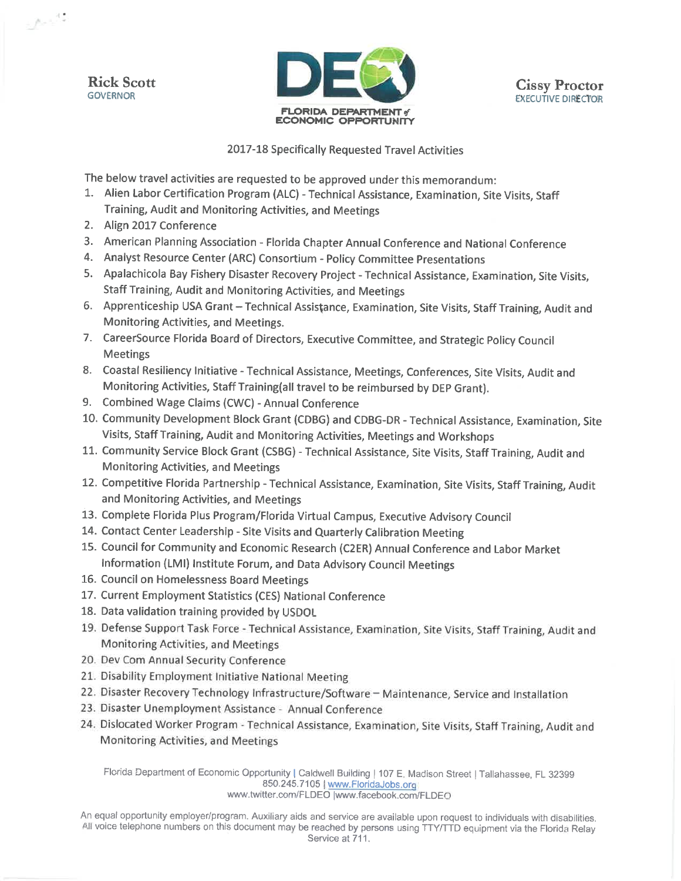**Rick Scott GOVERNOR** 

وفريع





2017-18 Specifically Requested Travel Activities

The below travel activities are requested to be approved under this memorandum:

- 1. Alien Labor Certification Program (ALC) Technical Assistance, Examination, Site Visits, Staff Training, Audit and Monitoring Activities, and Meetings
- 2. Align 2017 Conference
- 3. American Planning Association Florida Chapter Annual Conference and National Conference
- 4. Analyst Resource Center (ARC) Consortium Policy Committee Presentations
- 5. Apalachicola Bay Fishery Disaster Recovery Project Technical Assistance, Examination, Site Visits, Staff Training, Audit and Monitoring Activities, and Meetings
- 6. Apprenticeship USA Grant Technical Assistance, Examination, Site Visits, Staff Training, Audit and Monitoring Activities, and Meetings.
- 7. CareerSource Florida Board of Directors, Executive Committee, and Strategic Policy Council **Meetings**
- 8. Coastal Resiliency Initiative Technical Assistance, Meetings, Conferences, Site Visits, Audit and Monitoring Activities, Staff Training(all travel to be reimbursed by DEP Grant).
- 9. Combined Wage Claims (CWC) Annual Conference
- 10. Community Development Block Grant (CDBG) and CDBG-DR Technical Assistance, Examination, Site Visits, Staff Training, Audit and Monitoring Activities, Meetings and Workshops
- 11. Community Service Block Grant (CSBG) Technical Assistance, Site Visits, Staff Training, Audit and **Monitoring Activities, and Meetings**
- 12. Competitive Florida Partnership Technical Assistance, Examination, Site Visits, Staff Training, Audit and Monitoring Activities, and Meetings
- 13. Complete Florida Plus Program/Florida Virtual Campus, Executive Advisory Council
- 14. Contact Center Leadership Site Visits and Quarterly Calibration Meeting
- 15. Council for Community and Economic Research (C2ER) Annual Conference and Labor Market Information (LMI) Institute Forum, and Data Advisory Council Meetings
- 16. Council on Homelessness Board Meetings
- 17. Current Employment Statistics (CES) National Conference
- 18. Data validation training provided by USDOL
- 19. Defense Support Task Force Technical Assistance, Examination, Site Visits, Staff Training, Audit and Monitoring Activities, and Meetings
- 20. Dev Com Annual Security Conference
- 21. Disability Employment Initiative National Meeting
- 22. Disaster Recovery Technology Infrastructure/Software Maintenance, Service and Installation
- 23. Disaster Unemployment Assistance Annual Conference
- 24. Dislocated Worker Program Technical Assistance, Examination, Site Visits, Staff Training, Audit and Monitoring Activities, and Meetings

Florida Department of Economic Opportunity | Caldwell Building | 107 E. Madison Street | Tallahassee, FL 32399 850.245.7105 | www.FloridaJobs.org www.twitter.com/FLDEO |www.facebook.com/FLDEO

An equal opportunity employer/program. Auxiliary aids and service are available upon request to individuals with disabilities. All voice telephone numbers on this document may be reached by persons using TTY/TTD equipment via the Florida Relay Service at 711.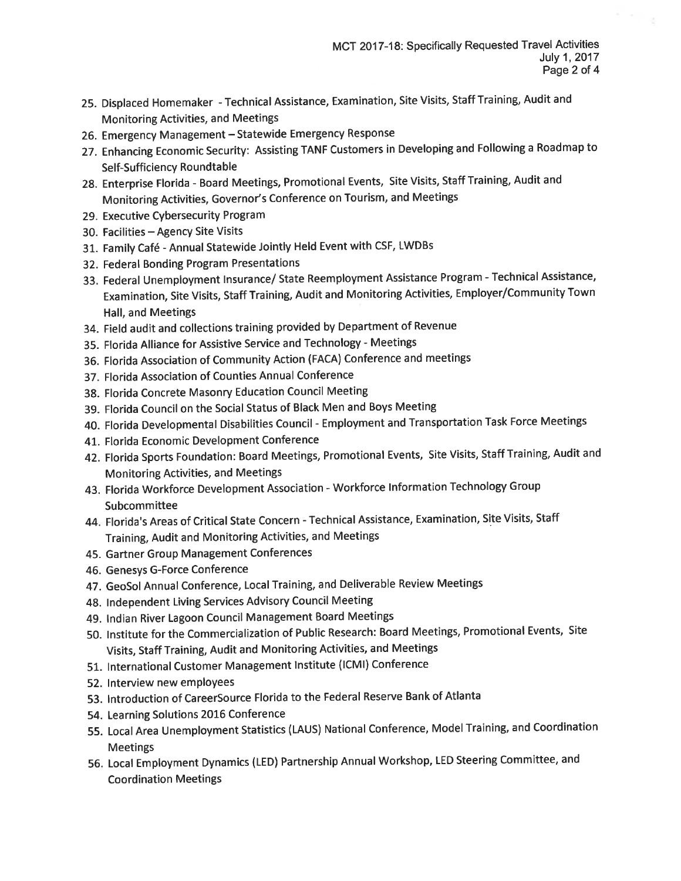- 25. Displaced Homemaker Technical Assistance, Examination, Site Visits, Staff Training, Audit and **Monitoring Activities, and Meetings**
- 26. Emergency Management Statewide Emergency Response
- 27. Enhancing Economic Security: Assisting TANF Customers in Developing and Following a Roadmap to Self-Sufficiency Roundtable
- 28. Enterprise Florida Board Meetings, Promotional Events, Site Visits, Staff Training, Audit and Monitoring Activities, Governor's Conference on Tourism, and Meetings
- 29. Executive Cybersecurity Program
- 30. Facilities Agency Site Visits
- 31. Family Café Annual Statewide Jointly Held Event with CSF, LWDBs
- 32. Federal Bonding Program Presentations
- 33. Federal Unemployment Insurance/ State Reemployment Assistance Program Technical Assistance, Examination, Site Visits, Staff Training, Audit and Monitoring Activities, Employer/Community Town Hall, and Meetings
- 34. Field audit and collections training provided by Department of Revenue
- 35. Florida Alliance for Assistive Service and Technology Meetings
- 36. Florida Association of Community Action (FACA) Conference and meetings
- 37. Florida Association of Counties Annual Conference
- 38. Florida Concrete Masonry Education Council Meeting
- 39. Florida Council on the Social Status of Black Men and Boys Meeting
- 40. Florida Developmental Disabilities Council Employment and Transportation Task Force Meetings
- 41. Florida Economic Development Conference
- 42. Florida Sports Foundation: Board Meetings, Promotional Events, Site Visits, Staff Training, Audit and **Monitoring Activities, and Meetings**
- 43. Florida Workforce Development Association Workforce Information Technology Group Subcommittee
- 44. Florida's Areas of Critical State Concern Technical Assistance, Examination, Site Visits, Staff Training, Audit and Monitoring Activities, and Meetings
- 45. Gartner Group Management Conferences
- 46. Genesys G-Force Conference
- 47. GeoSol Annual Conference, Local Training, and Deliverable Review Meetings
- 48. Independent Living Services Advisory Council Meeting
- 49. Indian River Lagoon Council Management Board Meetings
- 50. Institute for the Commercialization of Public Research: Board Meetings, Promotional Events, Site Visits, Staff Training, Audit and Monitoring Activities, and Meetings
- 51. International Customer Management Institute (ICMI) Conference
- 52. Interview new employees
- 53. Introduction of CareerSource Florida to the Federal Reserve Bank of Atlanta
- 54. Learning Solutions 2016 Conference
- 55. Local Area Unemployment Statistics (LAUS) National Conference, Model Training, and Coordination **Meetings**
- 56. Local Employment Dynamics (LED) Partnership Annual Workshop, LED Steering Committee, and **Coordination Meetings**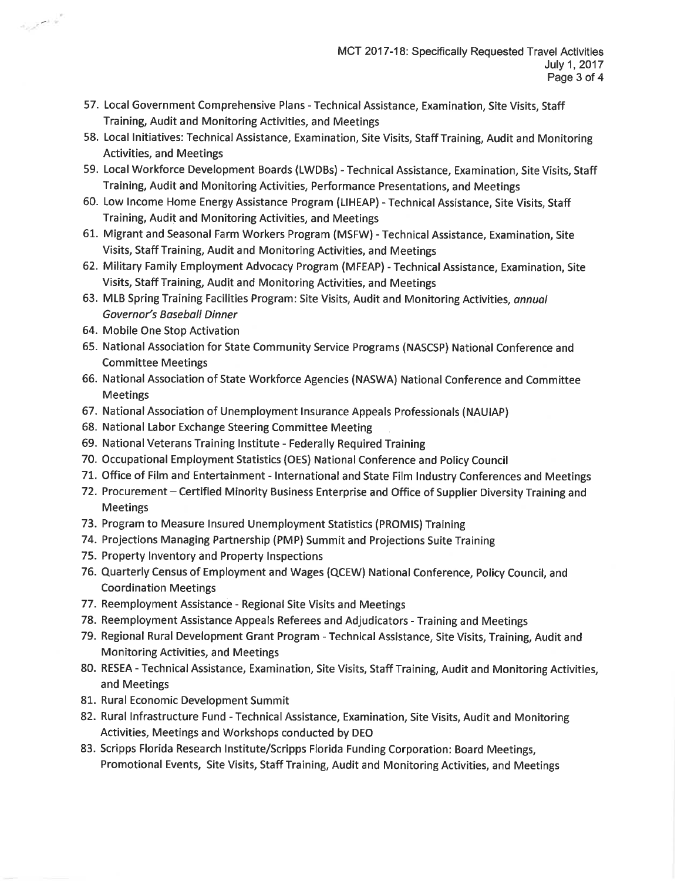- 57. Local Government Comprehensive Plans Technical Assistance, Examination, Site Visits, Staff Training, Audit and Monitoring Activities, and Meetings
- 58. Local Initiatives: Technical Assistance, Examination, Site Visits, Staff Training, Audit and Monitoring **Activities, and Meetings**
- 59. Local Workforce Development Boards (LWDBs) Technical Assistance, Examination, Site Visits, Staff Training, Audit and Monitoring Activities, Performance Presentations, and Meetings
- 60. Low Income Home Energy Assistance Program (LIHEAP) Technical Assistance, Site Visits, Staff Training, Audit and Monitoring Activities, and Meetings
- 61. Migrant and Seasonal Farm Workers Program (MSFW) Technical Assistance. Examination. Site Visits, Staff Training, Audit and Monitoring Activities, and Meetings
- 62. Military Family Employment Advocacy Program (MFEAP) Technical Assistance, Examination, Site Visits, Staff Training, Audit and Monitoring Activities, and Meetings
- 63. MLB Spring Training Facilities Program: Site Visits, Audit and Monitoring Activities, annual Governor's Baseball Dinner
- 64. Mobile One Stop Activation

فالمعمورة

- 65. National Association for State Community Service Programs (NASCSP) National Conference and **Committee Meetings**
- 66. National Association of State Workforce Agencies (NASWA) National Conference and Committee **Meetings**
- 67. National Association of Unemployment Insurance Appeals Professionals (NAUIAP)
- 68. National Labor Exchange Steering Committee Meeting
- 69. National Veterans Training Institute Federally Required Training
- 70. Occupational Employment Statistics (OES) National Conference and Policy Council
- 71. Office of Film and Entertainment International and State Film Industry Conferences and Meetings
- 72. Procurement Certified Minority Business Enterprise and Office of Supplier Diversity Training and **Meetings**
- 73. Program to Measure Insured Unemployment Statistics (PROMIS) Training
- 74. Projections Managing Partnership (PMP) Summit and Projections Suite Training
- 75. Property Inventory and Property Inspections
- 76. Quarterly Census of Employment and Wages (QCEW) National Conference, Policy Council, and **Coordination Meetings**
- 77. Reemployment Assistance Regional Site Visits and Meetings
- 78. Reemployment Assistance Appeals Referees and Adjudicators Training and Meetings
- 79. Regional Rural Development Grant Program Technical Assistance, Site Visits, Training, Audit and Monitoring Activities, and Meetings
- 80. RESEA Technical Assistance, Examination, Site Visits, Staff Training, Audit and Monitoring Activities, and Meetings
- 81. Rural Economic Development Summit
- 82. Rural Infrastructure Fund Technical Assistance, Examination, Site Visits, Audit and Monitoring Activities, Meetings and Workshops conducted by DEO
- 83. Scripps Florida Research Institute/Scripps Florida Funding Corporation: Board Meetings, Promotional Events, Site Visits, Staff Training, Audit and Monitoring Activities, and Meetings